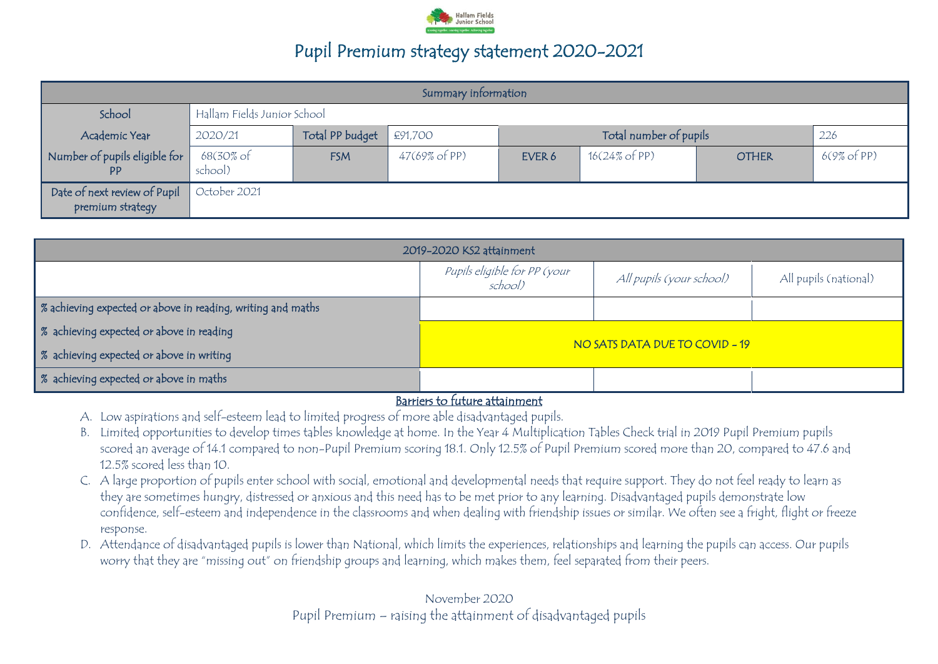

| Summary information                              |                      |                             |                                          |        |                          |              |             |
|--------------------------------------------------|----------------------|-----------------------------|------------------------------------------|--------|--------------------------|--------------|-------------|
| School                                           |                      | Hallam Fields Junior School |                                          |        |                          |              |             |
| Academic Year                                    | 2020/21              | Total PP budget             | Total number of pupils<br>£91,700<br>226 |        |                          |              |             |
| Number of pupils eligible for<br><b>PP</b>       | 68(30% of<br>school) | <b>FSM</b>                  | $47(69\% \text{ of PP})$                 | EVER 6 | $16(24\% \text{ of PP})$ | <b>OTHER</b> | 6(9% of PP) |
| Date of next review of Pupil<br>premium strategy | October 2021         |                             |                                          |        |                          |              |             |

| 2019-2020 KS2 attainment                                                                     |                                |  |  |  |  |
|----------------------------------------------------------------------------------------------|--------------------------------|--|--|--|--|
| Pupils eligible for PP (your<br>All pupils (national)<br>All pupils (your school)<br>school) |                                |  |  |  |  |
| % achieving expected or above in reading, writing and maths                                  |                                |  |  |  |  |
| % achieving expected or above in reading                                                     |                                |  |  |  |  |
| % achieving expected or above in writing                                                     | NO SATS DATA DUE TO COVID - 19 |  |  |  |  |
| % achieving expected or above in maths                                                       |                                |  |  |  |  |

#### Barriers to future attainment

- A. Low aspirations and self-esteem lead to limited progress of more able disadvantaged pupils.
- B. Limited opportunities to develop times tables knowledge at home. In the Year 4 Multiplication Tables Check trial in 2019 Pupil Premium pupils scored an average of 14.1 compared to non-Pupil Premium scoring 18.1. Only 12.5% of Pupil Premium scored more than 20, compared to 47.6 and 12.5% scored less than 10.
- C. A large proportion of pupils enter school with social, emotional and developmental needs that require support. They do not feel ready to learn as they are sometimes hungry, distressed or anxious and this need has to be met prior to any learning. Disadvantaged pupils demonstrate low confidence, self-esteem and independence in the classrooms and when dealing with friendship issues or similar. We often see a fright, flight or freeze response.
- D. Attendance of disadvantaged pupils is lower than National, which limits the experiences, relationships and learning the pupils can access. Our pupils worry that they are "missing out" on friendship groups and learning, which makes them, feel separated from their peers.

November 2020 Pupil Premium – raising the attainment of disadvantaged pupils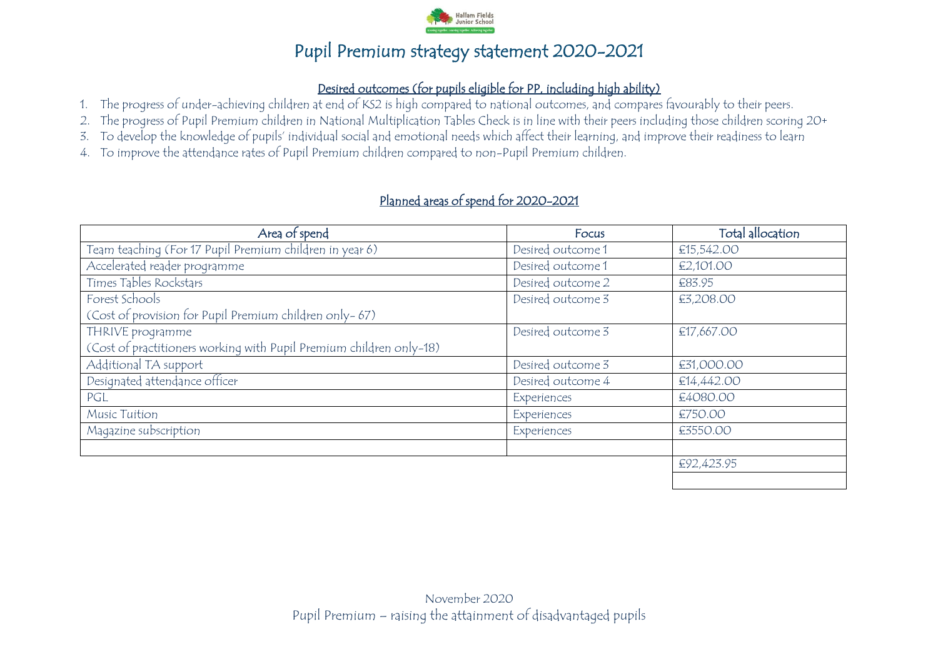

#### Desired outcomes (for pupils eligible for PP, including high ability)

- 1. The progress of under-achieving children at end of KS2 is high compared to national outcomes, and compares favourably to their peers.
- 2. The progress of Pupil Premium children in National Multiplication Tables Check is in line with their peers including those children scoring 20+
- 3. To develop the knowledge of pupils' individual social and emotional needs which affect their learning, and improve their readiness to learn
- 4. To improve the attendance rates of Pupil Premium children compared to non-Pupil Premium children.

#### Planned areas of spend for 2020-2021

| Area of spend                                                       | Focus             | Total allocation |
|---------------------------------------------------------------------|-------------------|------------------|
| Team teaching (For 17 Pupil Premium children in year 6)             | Desired outcome 1 | €15,542.00       |
| Accelerated reader programme                                        | Desired outcome 1 | €2,101.00        |
| Times Tables Rockstars                                              | Desired outcome 2 | €83.95           |
| Forest Schools                                                      | Desired outcome 3 | €3,208.00        |
| (Cost of provision for Pupil Premium children only-67)              |                   |                  |
| THRIVE programme                                                    | Desired outcome 3 | €17,667.00       |
| (Cost of practitioners working with Pupil Premium children only-18) |                   |                  |
| Additional TA support                                               | Desired outcome 3 | €31,000.00       |
| Designated attendance officer                                       | Desired outcome 4 | €14,442.00       |
| PGL                                                                 | Experiences       | €4080.00         |
| Music Tuition                                                       | Experiences       | €750.00          |
| Magazine subscription                                               | Experiences       | £3550.00         |
|                                                                     |                   |                  |
|                                                                     |                   | €92,423.95       |
|                                                                     |                   |                  |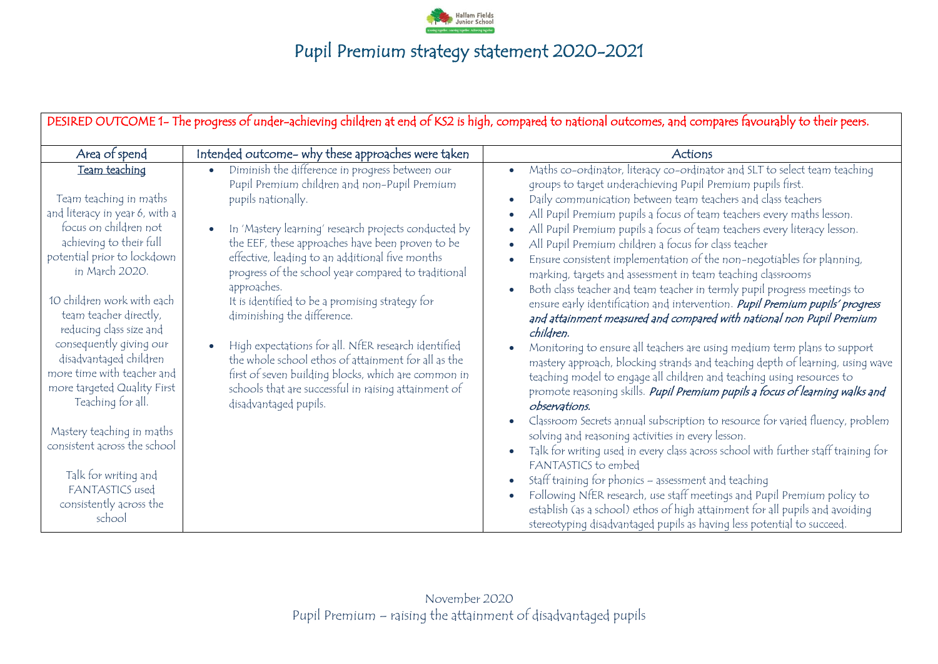

| DESIRED OUTCOME 1- The progress of under-achieving children at end of KS2 is high, compared to national outcomes, and compares favourably to their peers.                                                                              |                                                                                                                                                                                                                                                                                                                                                                                                                                              |                                                                                                                                                                                                                                                                                                                                                                                                                                                                                                                                                                                                                                                                                                                                                                                                                                                                                              |  |  |  |  |
|----------------------------------------------------------------------------------------------------------------------------------------------------------------------------------------------------------------------------------------|----------------------------------------------------------------------------------------------------------------------------------------------------------------------------------------------------------------------------------------------------------------------------------------------------------------------------------------------------------------------------------------------------------------------------------------------|----------------------------------------------------------------------------------------------------------------------------------------------------------------------------------------------------------------------------------------------------------------------------------------------------------------------------------------------------------------------------------------------------------------------------------------------------------------------------------------------------------------------------------------------------------------------------------------------------------------------------------------------------------------------------------------------------------------------------------------------------------------------------------------------------------------------------------------------------------------------------------------------|--|--|--|--|
| Area of spend                                                                                                                                                                                                                          | Intended outcome- why these approaches were taken                                                                                                                                                                                                                                                                                                                                                                                            | Actions                                                                                                                                                                                                                                                                                                                                                                                                                                                                                                                                                                                                                                                                                                                                                                                                                                                                                      |  |  |  |  |
| Team teaching<br>Team teaching in maths<br>and literacy in year 6, with a<br>focus on children not<br>achieving to their full<br>potential prior to lockdown<br>in March 2020.<br>10 children work with each<br>team teacher directly, | Diminish the difference in progress between our<br>Pupil Premium children and non-Pupil Premium<br>pupils nationally.<br>In 'Mastery learning' research projects conducted by<br>the EEF, these approaches have been proven to be<br>effective, leading to an additional five months<br>progress of the school year compared to traditional<br>approaches.<br>It is identified to be a promising strategy for<br>diminishing the difference. | Maths co-ordinator, literacy co-ordinator and SLT to select team teaching<br>$\bullet$<br>groups to target underachieving Pupil Premium pupils first.<br>Daily communication between team teachers and class teachers<br>$\bullet$<br>All Pupil Premium pupils a focus of team teachers every maths lesson.<br>$\bullet$<br>All Pupil Premium pupils a focus of team teachers every literacy lesson.<br>$\bullet$<br>All Pupil Premium children a focus for class teacher<br>$\bullet$<br>Ensure consistent implementation of the non-negotiables for planning,<br>$\bullet$<br>marking, targets and assessment in team teaching classrooms<br>Both class teacher and team teacher in termly pupil progress meetings to<br>$\bullet$<br>ensure early identification and intervention. Pupil Premium pupils' progress<br>and attainment measured and compared with national non Pupil Premium |  |  |  |  |
| reducing class size and<br>consequently giving our<br>disadvantaged children<br>more time with teacher and<br>more targeted Quality First<br>Teaching for all.                                                                         | High expectations for all. NfER research identified<br>the whole school ethos of attainment for all as the<br>first of seven building blocks, which are common in<br>schools that are successful in raising attainment of<br>disadvantaged pupils.                                                                                                                                                                                           | children.<br>Monitoring to ensure all teachers are using medium term plans to support<br>$\bullet$<br>mastery approach, blocking strands and teaching depth of learning, using wave<br>teaching model to engage all children and teaching using resources to<br>promote reasoning skills. Pupil Premium pupils a focus of learning walks and<br>observations.                                                                                                                                                                                                                                                                                                                                                                                                                                                                                                                                |  |  |  |  |
| Mastery teaching in maths<br>consistent across the school<br>Talk for writing and<br>FANTASTICS used<br>consistently across the<br>school                                                                                              |                                                                                                                                                                                                                                                                                                                                                                                                                                              | Classroom Secrets annual subscription to resource for varied fluency, problem<br>$\bullet$<br>solving and reasoning activities in every lesson.<br>Talk for writing used in every class across school with further staff training for<br>$\bullet$<br>FANTASTICS to embed<br>Staff training for phonics - assessment and teaching<br>$\bullet$<br>Following NfER research, use staff meetings and Pupil Premium policy to<br>$\bullet$<br>establish (as a school) ethos of high attainment for all pupils and avoiding<br>stereotyping disadvantaged pupils as having less potential to succeed.                                                                                                                                                                                                                                                                                             |  |  |  |  |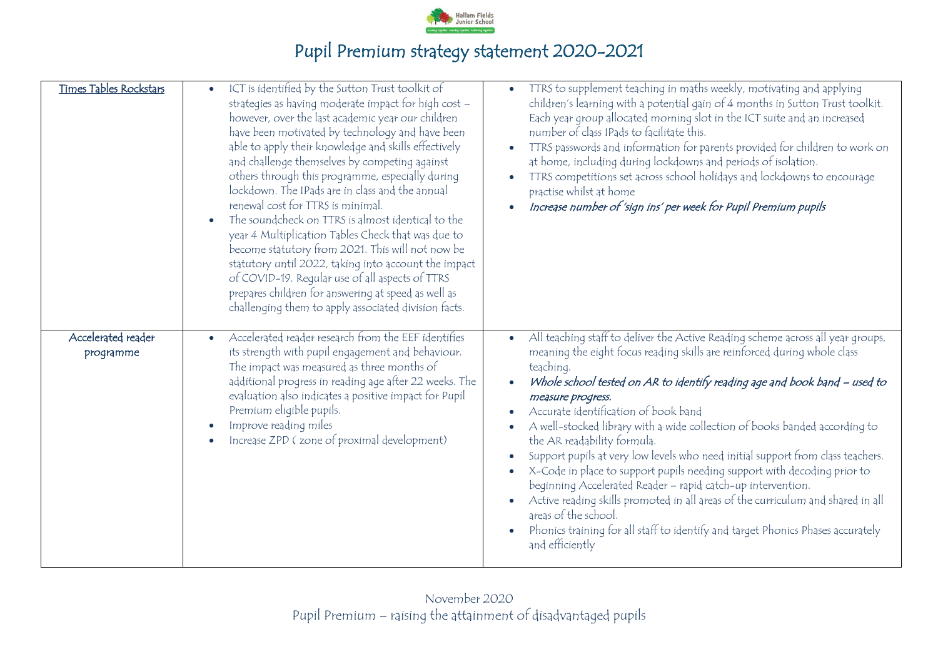

| Times Tables Rockstars          | ICT is identified by the Sutton Trust toolkit of<br>$\bullet$<br>strategies as having moderate impact for high cost -<br>however, over the last academic year our children<br>have been motivated by technology and have been<br>able to apply their knowledge and skills effectively<br>and challenge themselves by competing against<br>others through this programme, especially during<br>lockdown. The IPads are in class and the annual<br>renewal cost for TTRS is minimal.<br>The soundcheck on TTRS is almost identical to the<br>$\bullet$<br>year 4 Multiplication Tables Check that was due to<br>become statutory from 2021. This will not now be<br>statutory until 2022, taking into account the impact<br>of COVID-19. Regular use of all aspects of TTRS<br>prepares children for answering at speed as well as<br>challenging them to apply associated division facts. | TTRS to supplement teaching in maths weekly, motivating and applying<br>$\bullet$<br>children's learning with a potential gain of 4 months in Sutton Trust toolkit.<br>Each year group allocated morning slot in the ICT suite and an increased<br>number of class IPads to facilitate this.<br>TTRS passwords and information for parents provided for children to work on<br>at home, including during lockdowns and periods of isolation.<br>TTRS competitions set across school holidays and lockdowns to encourage<br>$\bullet$<br>practise whilst at home<br>Increase number of 'sign ins' per week for Pupil Premium pupils                                                                                                                                                                                                                                             |
|---------------------------------|------------------------------------------------------------------------------------------------------------------------------------------------------------------------------------------------------------------------------------------------------------------------------------------------------------------------------------------------------------------------------------------------------------------------------------------------------------------------------------------------------------------------------------------------------------------------------------------------------------------------------------------------------------------------------------------------------------------------------------------------------------------------------------------------------------------------------------------------------------------------------------------|--------------------------------------------------------------------------------------------------------------------------------------------------------------------------------------------------------------------------------------------------------------------------------------------------------------------------------------------------------------------------------------------------------------------------------------------------------------------------------------------------------------------------------------------------------------------------------------------------------------------------------------------------------------------------------------------------------------------------------------------------------------------------------------------------------------------------------------------------------------------------------|
| Accelerated reader<br>programme | Accelerated reader research from the EEF identifies<br>its strength with pupil engagement and behaviour.<br>The impact was measured as three months of<br>additional progress in reading age after 22 weeks. The<br>evaluation also indicates a positive impact for Pupil<br>Premium eligible pupils.<br>Improve reading miles<br>$\bullet$<br>Increase ZPD (zone of proximal development)                                                                                                                                                                                                                                                                                                                                                                                                                                                                                               | All teaching staff to deliver the Active Reading scheme across all year groups,<br>meaning the eight focus reading skills are reinforced during whole class<br>teaching.<br>Whole school tested on AR to identify reading age and book band – used to<br>measure progress.<br>Accurate identification of book band<br>A well-stocked library with a wide collection of books banded according to<br>the AR readability formula.<br>Support pupils at very low levels who need initial support from class teachers.<br>X-Code in place to support pupils needing support with decoding prior to<br>beginning Accelerated Reader - rapid catch-up intervention.<br>Active reading skills promoted in all areas of the curriculum and shared in all<br>areas of the school.<br>Phonics training for all staff to identify and target Phonics Phases accurately<br>and efficiently |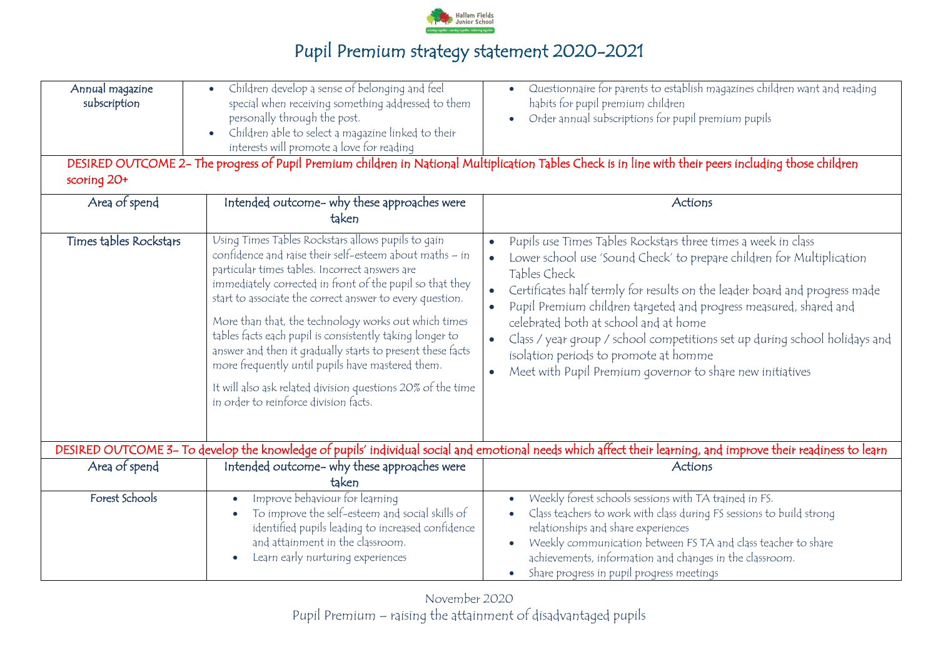

| Annual magazine<br>subscription<br>scoring 20+ | Children develop a sense of belonging and feel<br>special when receiving something addressed to them<br>personally through the post.<br>Children able to select a magazine linked to their<br>interests will promote a love for reading                                                                                                                                                                                                                                                                                                                                                                                               | Questionnaire for parents to establish magazines children want and reading<br>habits for pupil premium children<br>Order annual subscriptions for pupil premium pupils<br>DESIRED OUTCOME 2- The progress of Pupil Premium children in National Multiplication Tables Check is in line with their peers including those children                                                                                                                                                                                                                    |
|------------------------------------------------|---------------------------------------------------------------------------------------------------------------------------------------------------------------------------------------------------------------------------------------------------------------------------------------------------------------------------------------------------------------------------------------------------------------------------------------------------------------------------------------------------------------------------------------------------------------------------------------------------------------------------------------|-----------------------------------------------------------------------------------------------------------------------------------------------------------------------------------------------------------------------------------------------------------------------------------------------------------------------------------------------------------------------------------------------------------------------------------------------------------------------------------------------------------------------------------------------------|
| Area of spend                                  | Intended outcome- why these approaches were<br>taken                                                                                                                                                                                                                                                                                                                                                                                                                                                                                                                                                                                  | Actions                                                                                                                                                                                                                                                                                                                                                                                                                                                                                                                                             |
| Times tables Rockstars                         | Using Times Tables Rockstars allows pupils to gain<br>confidence and raise their self-esteem about maths - in<br>particular times tables. Incorrect answers are<br>immediately corrected in front of the pupil so that they<br>start to associate the correct answer to every question.<br>More than that, the technology works out which times<br>tables facts each pupil is consistently taking longer to<br>answer and then it gradually starts to present these facts<br>more frequently until pupils have mastered them.<br>It will also ask related division questions 20% of the time<br>in order to reinforce division facts. | Pupils use Times Tables Rockstars three times a week in class<br>Lower school use 'Sound Check' to prepare children for Multiplication<br>Tables Check<br>Certificates half termly for results on the leader board and progress made<br>Pupil Premium children targeted and progress measured, shared and<br>$\bullet$<br>celebrated both at school and at home<br>Class / year group / school competitions set up during school holidays and<br>isolation periods to promote at homme<br>Meet with Pupil Premium governor to share new initiatives |
|                                                |                                                                                                                                                                                                                                                                                                                                                                                                                                                                                                                                                                                                                                       | DESIRED OUTCOME 3- To develop the knowledge of pupils' individual social and emotional needs which affect their learning, and improve their readiness to learn                                                                                                                                                                                                                                                                                                                                                                                      |
| Area of spend                                  | Intended outcome- why these approaches were<br>taken                                                                                                                                                                                                                                                                                                                                                                                                                                                                                                                                                                                  | Actions                                                                                                                                                                                                                                                                                                                                                                                                                                                                                                                                             |
| Forest Schools                                 | Improve behaviour for learning<br>To improve the self-esteem and social skills of<br>identified pupils leading to increased confidence<br>and attainment in the classroom.<br>Learn early nurturing experiences                                                                                                                                                                                                                                                                                                                                                                                                                       | Weekly forest schools sessions with TA trained in FS.<br>$\bullet$<br>Class teachers to work with class during FS sessions to build strong<br>relationships and share experiences<br>Weekly communication between FS TA and class teacher to share<br>achievements, information and changes in the classroom.<br>Share progress in pupil progress meetings<br>$\bullet$                                                                                                                                                                             |

November 2020 Pupil Premium – raising the attainment of disadvantaged pupils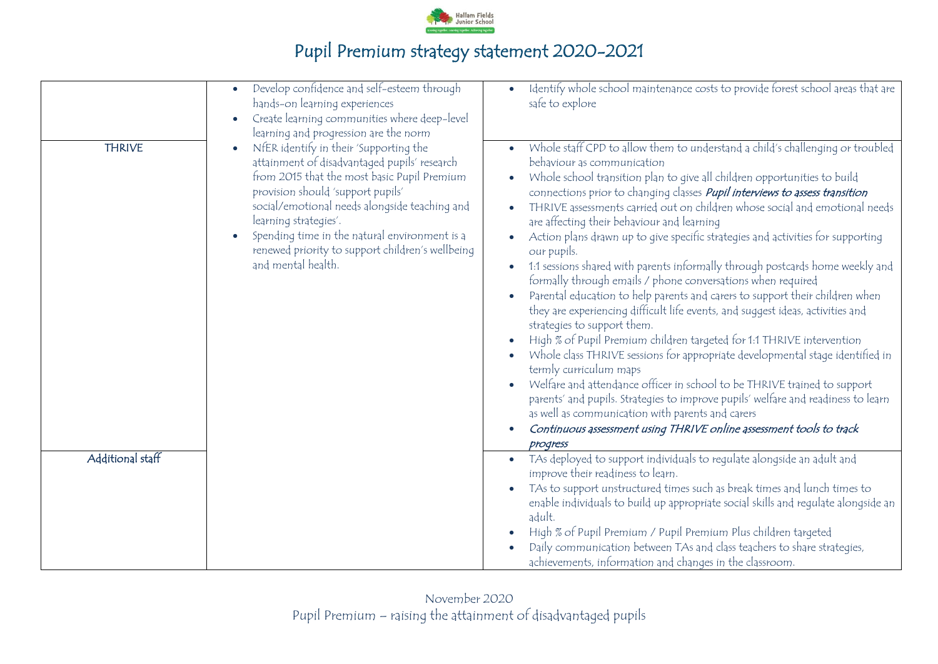

|                                   | Develop confidence and self-esteem through<br>hands-on learning experiences<br>Create learning communities where deep-level<br>learning and progression are the norm                                                                                                                                                                                                            | Identify whole school maintenance costs to provide forest school areas that are<br>safe to explore                                                                                                                                                                                                                                                                                                                                                                                                                                                                                                                                                                                                                                                                                                                                                                                                                                                                                                                                                                                                                                                                                                                                                                                                                                                                                                                                  |
|-----------------------------------|---------------------------------------------------------------------------------------------------------------------------------------------------------------------------------------------------------------------------------------------------------------------------------------------------------------------------------------------------------------------------------|-------------------------------------------------------------------------------------------------------------------------------------------------------------------------------------------------------------------------------------------------------------------------------------------------------------------------------------------------------------------------------------------------------------------------------------------------------------------------------------------------------------------------------------------------------------------------------------------------------------------------------------------------------------------------------------------------------------------------------------------------------------------------------------------------------------------------------------------------------------------------------------------------------------------------------------------------------------------------------------------------------------------------------------------------------------------------------------------------------------------------------------------------------------------------------------------------------------------------------------------------------------------------------------------------------------------------------------------------------------------------------------------------------------------------------------|
| <b>THRIVE</b><br>Additional staff | NfER identify in their 'Supporting the<br>attainment of disadvantaged pupils' research<br>from 2015 that the most basic Pupil Premium<br>provision should 'support pupils'<br>social/emotional needs alongside teaching and<br>learning strategies'.<br>Spending time in the natural environment is a<br>renewed priority to support children's wellbeing<br>and mental health. | Whole staff CPD to allow them to understand a child's challenging or troubled<br>behaviour as communication<br>Whole school transition plan to give all children opportunities to build<br>connections prior to changing classes <i>Pupil interviews to assess transition</i><br>THRIVE assessments carried out on children whose social and emotional needs<br>are affecting their behaviour and learning<br>Action plans drawn up to give specific strategies and activities for supporting<br>our pupils.<br>1:1 sessions shared with parents informally through postcards home weekly and<br>formally through emails / phone conversations when required<br>Parental education to help parents and carers to support their children when<br>they are experiencing difficult life events, and suggest ideas, activities and<br>strategies to support them.<br>High % of Pupil Premium children targeted for 1:1 THRIVE intervention<br>Whole class THRIVE sessions for appropriate developmental stage identified in<br>termly curriculum maps<br>Welfare and attendance officer in school to be THRIVE trained to support<br>parents' and pupils. Strategies to improve pupils' welfare and readiness to learn<br>as well as communication with parents and carers<br>Continuous assessment using THRIVE online assessment tools to track<br>progress<br>TAs deployed to support individuals to regulate alongside an adult and |
|                                   |                                                                                                                                                                                                                                                                                                                                                                                 | improve their readiness to learn.<br>TAs to support unstructured times such as break times and lunch times to<br>enable individuals to build up appropriate social skills and regulate alongside an<br>adult.<br>High % of Pupil Premium / Pupil Premium Plus children targeted<br>Daily communication between TAs and class teachers to share strategies,<br>achievements, information and changes in the classroom.                                                                                                                                                                                                                                                                                                                                                                                                                                                                                                                                                                                                                                                                                                                                                                                                                                                                                                                                                                                                               |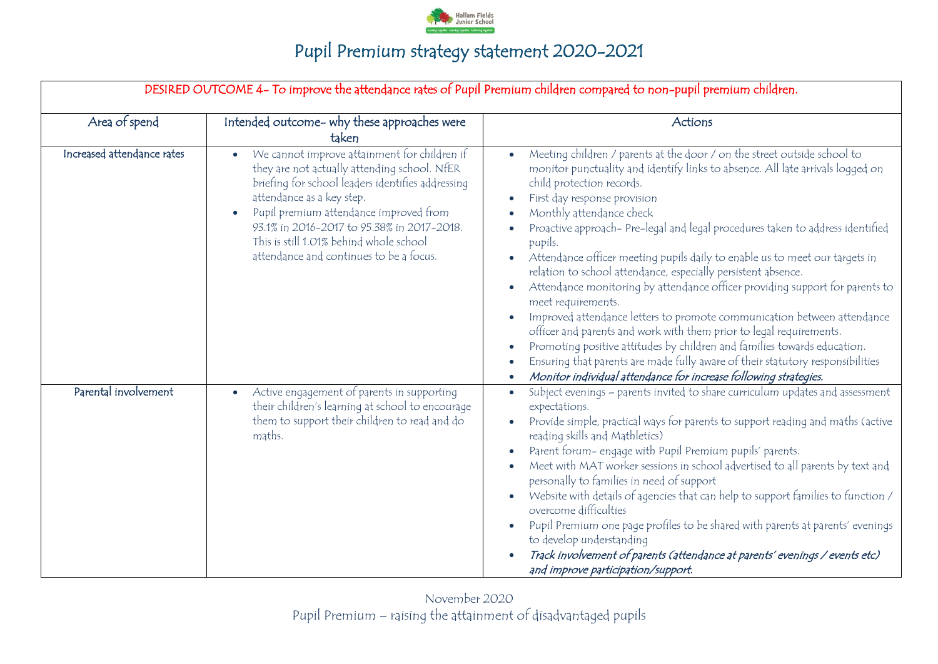

|                            | DESIRED OUTCOME 4- To improve the attendance rates of Pupil Premium children compared to non-pupil premium children.                                                                                                                                                                                                                                         |                                                                                                                                                                                                                                                                                                                                                                                                                                                                                                                                                                                                                                                                                                                                                                                                                                                                                                                                                                                            |  |  |  |  |
|----------------------------|--------------------------------------------------------------------------------------------------------------------------------------------------------------------------------------------------------------------------------------------------------------------------------------------------------------------------------------------------------------|--------------------------------------------------------------------------------------------------------------------------------------------------------------------------------------------------------------------------------------------------------------------------------------------------------------------------------------------------------------------------------------------------------------------------------------------------------------------------------------------------------------------------------------------------------------------------------------------------------------------------------------------------------------------------------------------------------------------------------------------------------------------------------------------------------------------------------------------------------------------------------------------------------------------------------------------------------------------------------------------|--|--|--|--|
| Area of spend              | Intended outcome- why these approaches were<br>taken                                                                                                                                                                                                                                                                                                         | Actions                                                                                                                                                                                                                                                                                                                                                                                                                                                                                                                                                                                                                                                                                                                                                                                                                                                                                                                                                                                    |  |  |  |  |
| Increased attendance rates | We cannot improve attainment for children if<br>they are not actually attending school. NfER<br>briefing for school leaders identifies addressing<br>attendance as a key step.<br>Pupil premium attendance improved from<br>93.1% in 2016-2017 to 95.38% in 2017-2018.<br>This is still 1.01% behind whole school<br>attendance and continues to be a focus. | Meeting children / parents at the door / on the street outside school to<br>monitor punctuality and identify links to absence. All late arrivals logged on<br>child protection records.<br>First day response provision<br>Monthly attendance check<br>Proactive approach- Pre-legal and legal procedures taken to address identified<br>pupils.<br>Attendance officer meeting pupils daily to enable us to meet our targets in<br>relation to school attendance, especially persistent absence.<br>Attendance monitoring by attendance officer providing support for parents to<br>meet requirements.<br>Improved attendance letters to promote communication between attendance<br>officer and parents and work with them prior to legal requirements.<br>Promoting positive attitudes by children and families towards education.<br>Ensuring that parents are made fully aware of their statutory responsibilities<br>Monitor individual attendance for increase following strategies. |  |  |  |  |
| Parental involvement       | Active engagement of parents in supporting<br>$\bullet$<br>their children's learning at school to encourage<br>them to support their children to read and do<br>maths.                                                                                                                                                                                       | Subject evenings - parents invited to share curriculum updates and assessment<br>$\bullet$<br>expectations.<br>Provide simple, practical ways for parents to support reading and maths (active<br>reading skills and Mathletics)<br>Parent forum- engage with Pupil Premium pupils' parents.<br>Meet with MAT worker sessions in school advertised to all parents by text and<br>personally to families in need of support<br>Website with details of agencies that can help to support families to function /<br>overcome difficulties<br>Pupil Premium one page profiles to be shared with parents at parents' evenings<br>to develop understanding<br>Track involvement of parents (attendance at parents' evenings / events etc)<br>and improve participation/support.                                                                                                                                                                                                                 |  |  |  |  |

November 2020 Pupil Premium – raising the attainment of disadvantaged pupils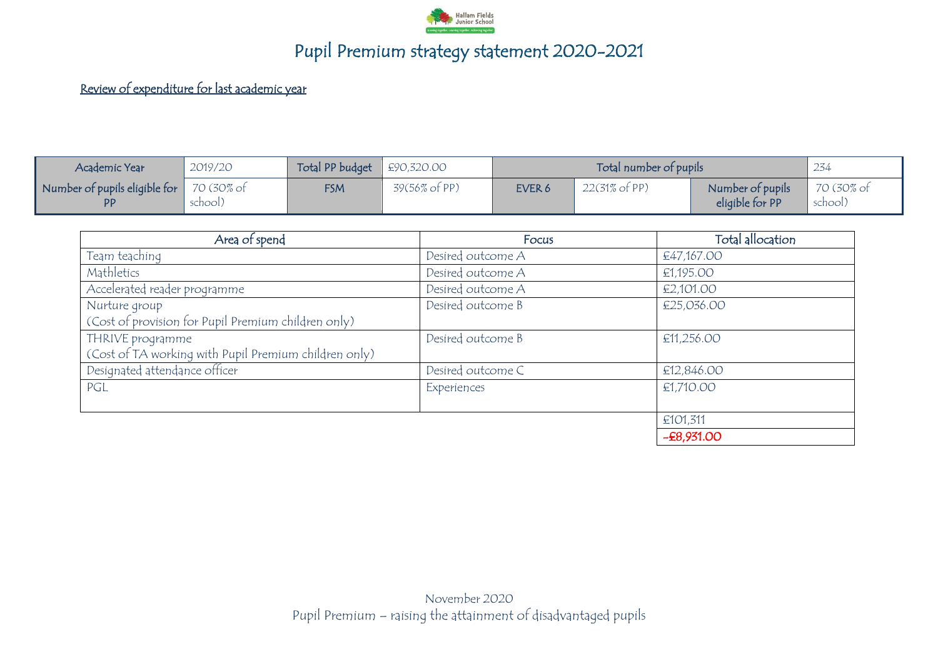

#### Review of expenditure for last academic year

| Academic Year                                            | 2019/20               | Total PP budget $\left  \right. \pm 90,320.00$ |                          | Total number of pupils |                          | 234                                 |                       |
|----------------------------------------------------------|-----------------------|------------------------------------------------|--------------------------|------------------------|--------------------------|-------------------------------------|-----------------------|
| $\mid$ Number of pupils eligible for $\mid$<br><b>DD</b> | 70 (30% of<br>school) | <b>FSM</b>                                     | $39(56\% \text{ of PP})$ | EVER 6                 | $22(31\% \text{ of PP})$ | Number of pupils<br>eligible for PP | 70 (30% of<br>school) |

| Area of spend                                         | Focus             | Total allocation |
|-------------------------------------------------------|-------------------|------------------|
| Team teaching                                         | Desired outcome A | €47,167.00       |
| Mathletics                                            | Desired outcome A | €1,195.00        |
| Accelerated reader programme                          | Desired outcome A | €2,101.00        |
| Nurture group                                         | Desired outcome B | €25,036.00       |
| (Cost of provision for Pupil Premium children only)   |                   |                  |
| THRIVE programme                                      | Desired outcome B | £11,256.00       |
| (Cost of TA working with Pupil Premium children only) |                   |                  |
| Designated attendance officer                         | Desired outcome C | €12,846.00       |
| PGL                                                   | Experiences       | €1,710.00        |
|                                                       |                   |                  |
|                                                       |                   | €101,311         |
|                                                       |                   | $-E8,931.00$     |